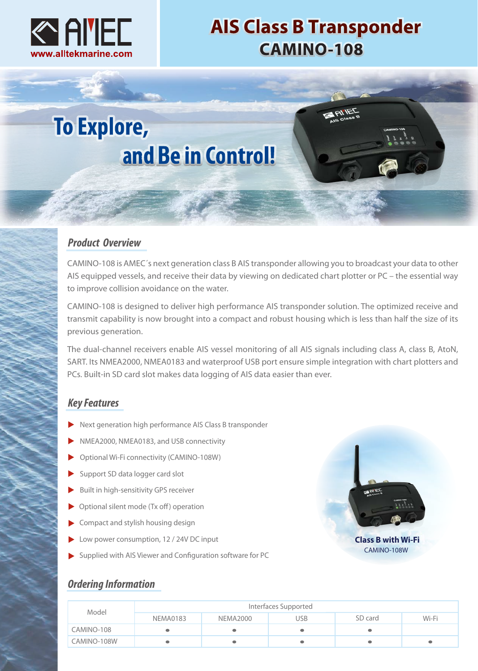

# **AIS Class B Transponder CAMINO-108**

# **To Explore,** and Be in Control!

## *Product Overview*

CAMINO-108 is AMEC´s next generation class B AIS transponder allowing you to broadcast your data to other AIS equipped vessels, and receive their data by viewing on dedicated chart plotter or PC – the essential way to improve collision avoidance on the water.

CAMINO-108 is designed to deliver high performance AIS transponder solution. The optimized receive and transmit capability is now brought into a compact and robust housing which is less than half the size of its previous generation.

The dual-channel receivers enable AIS vessel monitoring of all AIS signals including class A, class B, AtoN, SART. Its NMEA2000, NMEA0183 and waterproof USB port ensure simple integration with chart plotters and PCs. Built-in SD card slot makes data logging of AIS data easier than ever.

## *Key Features*

- Next generation high performance AIS Class B transponder
- NMEA2000, NMEA0183, and USB connectivity
- Optional Wi-Fi connectivity (CAMINO-108W)
- Support SD data logger card slot
- Built in high-sensitivity GPS receiver
- Optional silent mode (Tx off) operation
- Compact and stylish housing design
- Low power consumption, 12 / 24V DC input
- Supplied with AIS Viewer and Configuration software for PC



CAMINO-108W

## *Ordering Information*

| Model       | Interfaces Supported |                 |     |         |       |
|-------------|----------------------|-----------------|-----|---------|-------|
|             | NEMA0183             | <b>NEMA2000</b> | USB | SD card | Wi-Fi |
| CAMINO-108  |                      |                 |     |         |       |
| CAMINO-108W |                      |                 |     |         |       |